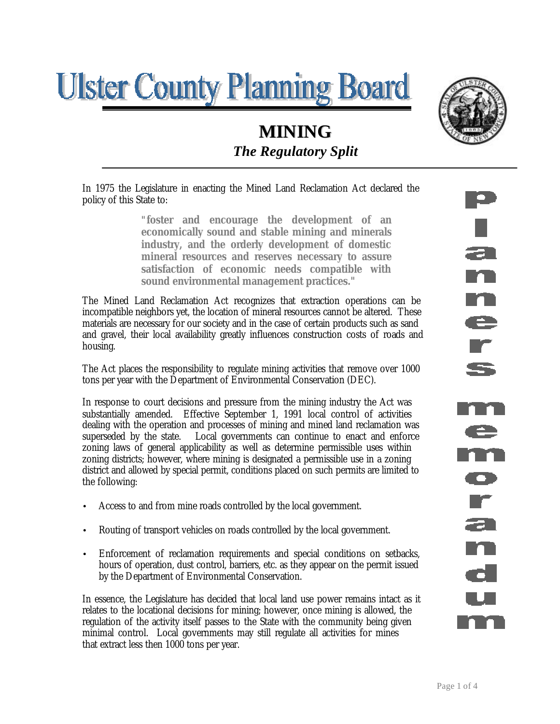# **Ulster County Planning Board**

## **MINING** *The Regulatory Split*



In 1975 the Legislature in enacting the Mined Land Reclamation Act declared the policy of this State to:

> **"***foster and encourage the development of an economically sound and stable mining and minerals industry, and the orderly development of domestic mineral resources and reserves necessary to assure satisfaction of economic needs compatible with sound environmental management practices."*

The Mined Land Reclamation Act recognizes that extraction operations can be incompatible neighbors yet, the location of mineral resources cannot be altered. These materials are necessary for our society and in the case of certain products such as sand and gravel, their local availability greatly influences construction costs of roads and housing.

The Act places the responsibility to regulate mining activities that remove over 1000 tons per year with the Department of Environmental Conservation (DEC).

In response to court decisions and pressure from the mining industry the Act was substantially amended. Effective September 1, 1991 local control of activities dealing with the operation and processes of mining and mined land reclamation was superseded by the state. Local governments can continue to enact and enforce zoning laws of general applicability as well as determine permissible uses within zoning districts; however, where mining is designated a permissible use in a zoning district and allowed by special permit, conditions placed on such permits are limited to the following:

- Access to and from mine roads controlled by the local government.
- Routing of transport vehicles on roads controlled by the local government.
- Enforcement of reclamation requirements and special conditions on setbacks, hours of operation, dust control, barriers, etc. as they appear on the permit issued by the Department of Environmental Conservation.

In essence, the Legislature has decided that local land use power remains intact as it relates to the locational decisions for mining; however, once mining is allowed, the regulation of the activity itself passes to the State with the community being given minimal control. Local governments may still regulate all activities for mines that extract less then 1000 tons per year.

n n e r S n r e m  $\bullet$ r æ n d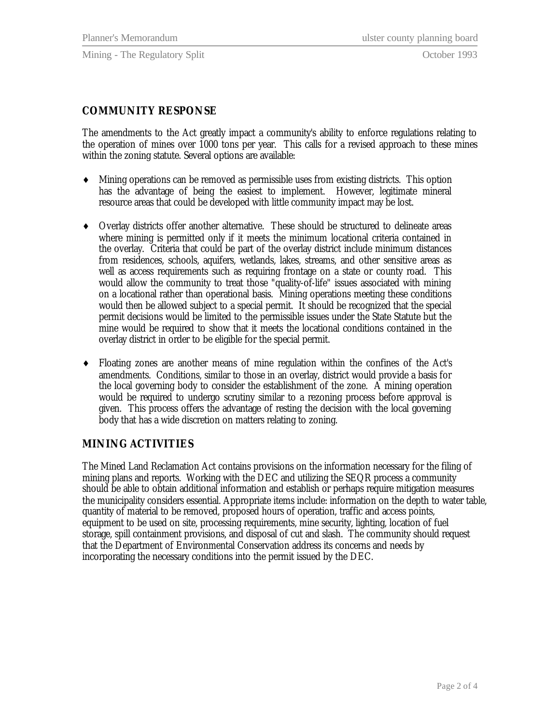Mining - The Regulatory Split Contract Contract Contract Contract Contract October 1993

#### **COMMUNITY RESPONSE**

The amendments to the Act greatly impact a community's ability to enforce regulations relating to the operation of mines over 1000 tons per year. This calls for a revised approach to these mines within the zoning statute. Several options are available:

- ♦ Mining operations can be removed as permissible uses from existing districts. This option has the advantage of being the easiest to implement. However, legitimate mineral resource areas that could be developed with little community impact may be lost.
- ♦ Overlay districts offer another alternative. These should be structured to delineate areas where mining is permitted only if it meets the minimum locational criteria contained in the overlay. Criteria that could be part of the overlay district include minimum distances from residences, schools, aquifers, wetlands, lakes, streams, and other sensitive areas as well as access requirements such as requiring frontage on a state or county road. This would allow the community to treat those "quality-of-life" issues associated with mining on a locational rather than operational basis. Mining operations meeting these conditions would then be allowed subject to a special permit. It should be recognized that the special permit decisions would be limited to the permissible issues under the State Statute but the mine would be required to show that it meets the locational conditions contained in the overlay district in order to be eligible for the special permit.
- ♦ Floating zones are another means of mine regulation within the confines of the Act's amendments. Conditions, similar to those in an overlay, district would provide a basis for the local governing body to consider the establishment of the zone. A mining operation would be required to undergo scrutiny similar to a rezoning process before approval is given. This process offers the advantage of resting the decision with the local governing body that has a wide discretion on matters relating to zoning.

#### **MINING ACTIVITIES**

The Mined Land Reclamation Act contains provisions on the information necessary for the filing of mining plans and reports. Working with the DEC and utilizing the SEQR process a community should be able to obtain additional information and establish or perhaps require mitigation measures the municipality considers essential. Appropriate items include: information on the depth to water table, quantity of material to be removed, proposed hours of operation, traffic and access points, equipment to be used on site, processing requirements, mine security, lighting, location of fuel storage, spill containment provisions, and disposal of cut and slash. The community should request that the Department of Environmental Conservation address its concerns and needs by incorporating the necessary conditions into the permit issued by the DEC.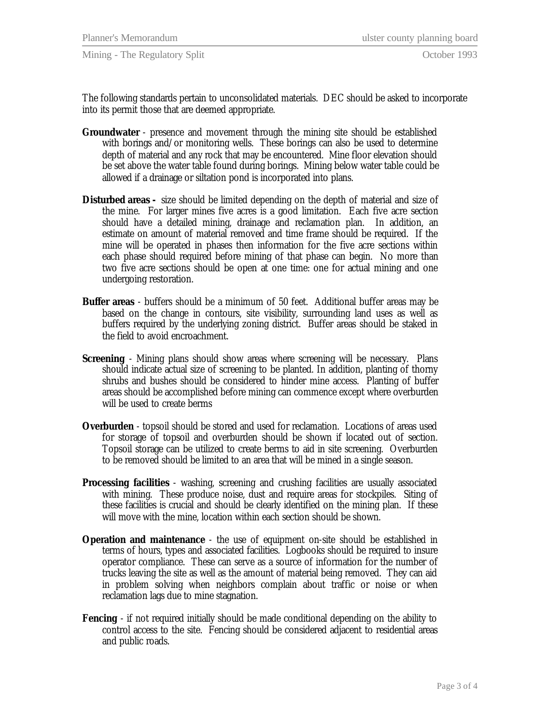The following standards pertain to unconsolidated materials. DEC should be asked to incorporate into its permit those that are deemed appropriate.

- **Groundwater** presence and movement through the mining site should be established with borings and/or monitoring wells. These borings can also be used to determine depth of material and any rock that may be encountered. Mine floor elevation should be set above the water table found during borings. Mining below water table could be allowed if a drainage or siltation pond is incorporated into plans.
- **Disturbed areas** size should be limited depending on the depth of material and size of the mine. For larger mines five acres is a good limitation. Each five acre section should have a detailed mining, drainage and reclamation plan. In addition, an estimate on amount of material removed and time frame should be required. If the mine will be operated in phases then information for the five acre sections within each phase should required before mining of that phase can begin. No more than two five acre sections should be open at one time: one for actual mining and one undergoing restoration.
- **Buffer areas** buffers should be a minimum of 50 feet. Additional buffer areas may be based on the change in contours, site visibility, surrounding land uses as well as buffers required by the underlying zoning district. Buffer areas should be staked in the field to avoid encroachment.
- **Screening** Mining plans should show areas where screening will be necessary. Plans should indicate actual size of screening to be planted. In addition, planting of thorny shrubs and bushes should be considered to hinder mine access. Planting of buffer areas should be accomplished before mining can commence except where overburden will be used to create berms
- **Overburden** topsoil should be stored and used for reclamation. Locations of areas used for storage of topsoil and overburden should be shown if located out of section. Topsoil storage can be utilized to create berms to aid in site screening. Overburden to be removed should be limited to an area that will be mined in a single season.
- **Processing facilities** washing, screening and crushing facilities are usually associated with mining. These produce noise, dust and require areas for stockpiles. Siting of these facilities is crucial and should be clearly identified on the mining plan. If these will move with the mine, location within each section should be shown.
- **Operation and maintenance** the use of equipment on-site should be established in terms of hours, types and associated facilities. Logbooks should be required to insure operator compliance. These can serve as a source of information for the number of trucks leaving the site as well as the amount of material being removed. They can aid in problem solving when neighbors complain about traffic or noise or when reclamation lags due to mine stagnation.
- **Fencing** if not required initially should be made conditional depending on the ability to control access to the site. Fencing should be considered adjacent to residential areas and public roads.